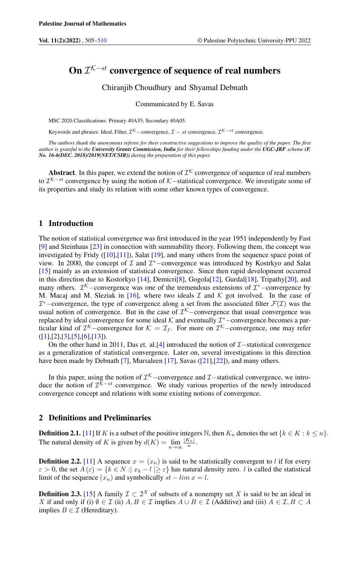# On  $\mathcal{I}^{\mathcal{K}-st}$  convergence of sequence of real numbers

Chiranjib Choudhury and Shyamal Debnath

Communicated by E. Savas

MSC 2020 Classifications: Primary 40A35; Secondary 40A05.

Keywords and phrases: Ideal, Filter,  $\mathcal{I}^{\mathcal{K}}$  – convergence,  $\mathcal{I}$  – st convergence,  $\mathcal{I}^{\mathcal{K}-st}$  convergence.

*The authors thank the anonymous referee for their constructive suggestions to improve the quality of the paper. The first author is grateful to the University Grants Commission, India for their fellowships funding under the UGC-JRF scheme (F. No. 16-6(DEC. 2018)/2019(NET/CSIR)) during the preparation of this paper.*

**Abstract**. In this paper, we extend the notion of  $\mathcal{I}^{\mathcal{K}}$  convergence of sequence of real numbers to  $\mathcal{I}^{\mathcal{K}-st}$  convergence by using the notion of  $\mathcal{K}-$  statistical convergence. We investigate some of its properties and study its relation with some other known types of convergence.

### 1 Introduction

The notion of statistical convergence was first introduced in the year 1951 independently by Fast [\[9\]](#page-5-0) and Steinhaus [\[23\]](#page-5-1) in connection with summability theory. Following them, the concept was investigated by Fridy ([\[10\]](#page-5-2),[\[11\]](#page-5-3)), Salat [\[19\]](#page-5-4), and many others from the sequence space point of view. In 2000, the concept of  $I$  and  $I^*$ -convergence was introduced by Kostrkyo and Salat [\[15\]](#page-5-5) mainly as an extension of statistical convergence. Since then rapid development occurred in this direction due to Kostorkyo [\[14\]](#page-5-6), Demicri[\[8\]](#page-5-7), Gogola[\[12\]](#page-5-8), Gurdal[\[18\]](#page-5-9), Tripathy[\[20\]](#page-5-10), and many others.  $\mathcal{I}^{\mathcal{K}}$  –convergence was one of the tremendous extensions of  $\mathcal{I}^*$  –convergence by M. Macaj and M. Sleziak in [\[16\]](#page-5-11), where two ideals  $\mathcal I$  and  $\mathcal K$  got involved. In the case of  $\mathcal{I}^*$  –convergence, the type of convergence along a set from the associated filter  $\mathcal{F}(\mathcal{I})$  was the usual notion of convergence. But in the case of  $\mathcal{I}^{\mathcal{K}}$  –convergence that usual convergence was replaced by ideal convergence for some ideal  $K$  and eventually  $\mathcal{I}^*$  -convergence becomes a particular kind of  $\mathcal{I}^{\mathcal{K}}$ -convergence for  $\mathcal{K} = \mathcal{I}_f$ . For more on  $\mathcal{I}^{\mathcal{K}}$ -convergence, one may refer  $([1],[2],[3],[5],[6],[13]).$  $([1],[2],[3],[5],[6],[13]).$  $([1],[2],[3],[5],[6],[13]).$  $([1],[2],[3],[5],[6],[13]).$  $([1],[2],[3],[5],[6],[13]).$  $([1],[2],[3],[5],[6],[13]).$  $([1],[2],[3],[5],[6],[13]).$  $([1],[2],[3],[5],[6],[13]).$  $([1],[2],[3],[5],[6],[13]).$  $([1],[2],[3],[5],[6],[13]).$  $([1],[2],[3],[5],[6],[13]).$  $([1],[2],[3],[5],[6],[13]).$  $([1],[2],[3],[5],[6],[13]).$ 

On the other hand in 2011, Das et. al.[\[4\]](#page-5-16) introduced the notion of  $\mathcal{I}-$ statistical convergence as a generalization of statistical convergence. Later on, several investigations in this direction have been made by Debnath [\[7\]](#page-5-17), Mursaleen [\[17\]](#page-5-18), Savas ([\[21\]](#page-5-19),[\[22\]](#page-5-20)), and many others.

In this paper, using the notion of  $\mathcal{I}^{\mathcal{K}}$  –convergence and  $\mathcal{I}$  –statistical convergence, we introduce the notion of  $\mathcal{I}^{\mathcal{K}-st}$  convergence. We study various properties of the newly introduced convergence concept and relations with some existing notions of convergence.

#### 2 Definitions and Preliminaries

**Definition 2.1.** [\[11\]](#page-5-3) If K is a subset of the positive integers N, then  $K_n$  denotes the set  $\{k \in K : k \leq n\}$ . The natural density of K is given by  $d(K) = \lim_{n \to \infty} \frac{|K_n|}{n}$ .

**Definition 2.2.** [\[11\]](#page-5-3) A sequence  $x = (x_n)$  is said to be statistically convergent to l if for every  $\varepsilon > 0$ , the set  $A(\varepsilon) = \{k \in N : |x_k - l| \geq \varepsilon\}$  has natural density zero. l is called the statistical limit of the sequence  $(x_n)$  and symbolically  $st - lim x = l$ .

**Definition 2.3.** [\[15\]](#page-5-5) A family  $\mathcal{I} \subset 2^X$  of subsets of a nonempty set X is said to be an ideal in X if and only if (i)  $\emptyset \in \mathcal{I}$  (ii)  $A, B \in \mathcal{I}$  implies  $A \cup B \in \mathcal{I}$  (Additive) and (iii)  $A \in \mathcal{I}, B \subset A$ implies  $B \in \mathcal{I}$  (Hereditary).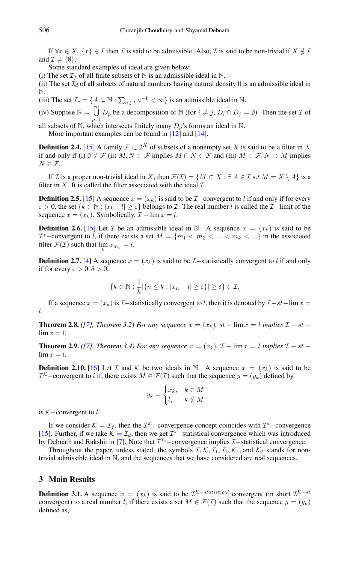If  $\forall x \in X, \{x\} \in \mathcal{I}$  then  $\mathcal{I}$  is said to be admissible. Also,  $\mathcal{I}$  is said to be non-trivial if  $X \notin \mathcal{I}$ and  $\mathcal{I} \neq {\emptyset}.$ 

Some standard examples of ideal are given below:

(i) The set  $\mathcal{I}_f$  of all finite subsets of N is an admissible ideal in N.

(ii) The set  $\mathcal{I}_d$  of all subsets of natural numbers having natural density 0 is an admissible ideal in N.

(iii) The set  $\mathcal{I}_c = \{ A \subseteq \mathbb{N} : \sum_{a \in A} a^{-1} < \infty \}$  is an admissible ideal in  $\mathbb{N}$ .

(iv) Suppose  $\mathbb{N} = \bigcup_{i=1}^{\infty} D_p$  be a decomposition of  $\mathbb{N}$  (for  $i \neq j$ ,  $D_i \cap D_j = \emptyset$ ). Then the set  $\mathcal I$  of

all subsets of N, which intersects finitely many  $D_p$ 's forms an ideal in N.

More important examples can be found in [\[12\]](#page-5-8) and [\[14\]](#page-5-6).

**Definition 2.4.** [\[15\]](#page-5-5) A family  $\mathcal{F} \subset 2^X$  of subsets of a nonempty set X is said to be a filter in X if and only if (i)  $\emptyset \notin \mathcal{F}$  (ii)  $M, N \in \mathcal{F}$  implies  $M \cap N \in \mathcal{F}$  and (iii)  $M \in \mathcal{F}, N \supset M$  implies  $N \in \mathcal{F}$ .

If I is a proper non-trivial ideal in X, then  $\mathcal{F}(\mathcal{I}) = \{M \subset X : \exists A \in \mathcal{I} s.t M = X \setminus A\}$  is a filter in X. It is called the filter associated with the ideal  $\mathcal{I}$ .

**Definition 2.5.** [\[15\]](#page-5-5) A sequence  $x = (x_k)$  is said to be  $\mathcal{I}-$ convergent to l if and only if for every  $\varepsilon > 0$ , the set  $\{k \in \mathbb{N} : |x_k - l| \ge \varepsilon\}$  belongs to  $\mathcal{I}$ . The real number l is called the  $\mathcal{I}-$ limit of the sequence  $x = (x_k)$ . Symbolically,  $\mathcal{I} - \lim x = l$ .

**Definition 2.6.** [\[15\]](#page-5-5) Let T be an admissible ideal in N. A sequence  $x = (x_k)$  is said to be  $\mathcal{I}^*$  –convergent to l, if there exixts a set  $M = \{m_1 < m_2 < \ldots < m_k < \ldots\}$  in the associated filter  $\mathcal{F}(\mathcal{I})$  such that  $\lim_k x_{m_k} = l$ .

**Definition 2.7.** [\[4\]](#page-5-16) A sequence  $x = (x_k)$  is said to be  $\mathcal{I}-$ statistically convergent to l if and only if for every  $\varepsilon > 0, \delta > 0$ ,

$$
\{k \in \mathbb{N} : \frac{1}{k} |\{n \le k : |x_n - l| \ge \varepsilon\}| \ge \delta\} \in \mathcal{I}.
$$

If a sequence  $x = (x_k)$  is  $\mathcal{I}-$ statistically convergent to l, then it is denoted by  $\mathcal{I}-st-\lim x =$ l.

<span id="page-1-1"></span>**Theorem 2.8.** *(*[\[7\]](#page-5-17), Theorem 3.2) For any sequence  $x = (x_k)$ ,  $st - \lim x = l$  *implies*  $\mathcal{I} - st \lim x = l$ .

<span id="page-1-0"></span>**Theorem 2.9.** *(*[\[7\]](#page-5-17), Theorem 3.4) For any sequence  $x = (x_k)$ ,  $\mathcal{I} - \lim x = l$  *implies*  $\mathcal{I} - st \lim x = l$ .

**Definition 2.10.** [\[16\]](#page-5-11) Let  $\mathcal I$  and  $\mathcal K$  be two ideals in N. A sequence  $x = (x_k)$  is said to be  $\mathcal{I}^{\mathcal{K}}$  –convergent to l if, there exists  $M \in \mathcal{F}(\mathcal{I})$  such that the sequence  $y = (y_k)$  defined by

$$
y_k = \begin{cases} x_k, & k \in M \\ l, & k \notin M \end{cases}
$$

is  $K$ –convergent to l.

If we consider  $K = \mathcal{I}_f$ , then the  $\mathcal{I}^k$ -convergence concept coincides with  $\mathcal{I}^*$ -convergence [\[15\]](#page-5-5). Further, if we take  $K = \mathcal{I}_d$ , then we get  $\mathcal{I}^*$  -statistical convergence which was introduced by Debnath and Rakshit in [\[7\]](#page-5-17). Note that  $\mathcal{I}^{\mathcal{I}_d}$  – convergence implies  $\mathcal{I}$  –statistical convergence.

Throughout the paper, unless stated, the symbols  $\mathcal{I}, \mathcal{K}, \mathcal{I}_1, \mathcal{I}_2, \mathcal{K}_1$ , and  $\mathcal{K}_2$  stands for nontrivial admissible ideal in N, and the sequences that we have considered are real sequences.

# 3 Main Results

<span id="page-1-2"></span>**Definition 3.1.** A sequence  $x = (x_k)$  is said to be  $\mathcal{I}^{\mathcal{K}-statistical}$  convergent (in short  $\mathcal{I}^{\mathcal{K}-st}$ convergent) to a real number l, if there exists a set  $M \in \mathcal{F}(\mathcal{I})$  such that the sequence  $y = (y_k)$ defined as,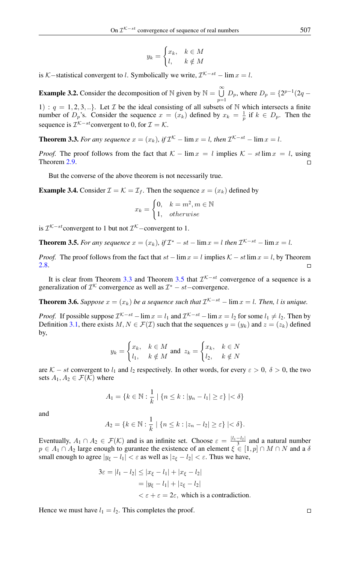$$
y_k = \begin{cases} x_k, & k \in M \\ l, & k \notin M \end{cases}
$$

is K–statistical convergent to l. Symbolically we write,  $\mathcal{I}^{\mathcal{K}-st}$  –  $\lim x = l$ .

<span id="page-2-2"></span>**Example 3.2.** Consider the decomposition of N given by  $N = \bigcup_{n=1}^{\infty} N_n$  $\bigcup_{p=1} D_p$ , where  $D_p = \{2^{p-1}(2q - )\}$ 

1) :  $q = 1, 2, 3, ...$ . Let T be the ideal consisting of all subsets of N which intersects a finite number of  $D_p$ 's. Consider the sequence  $x = (x_k)$  defined by  $x_k = \frac{1}{p}$  if  $k \in D_p$ . Then the sequence is  $\mathcal{I}^{\mathcal{K}-st}$ convergent to 0, for  $\mathcal{I} = \mathcal{K}$ .

<span id="page-2-0"></span>**Theorem 3.3.** *For any sequence*  $x = (x_k)$ , if  $\mathcal{I}^{\mathcal{K}}$  –  $\lim x = l$ , then  $\mathcal{I}^{\mathcal{K}-st}$  –  $\lim x = l$ .

*Proof.* The proof follows from the fact that  $K - \lim x = l$  implies  $K - st \lim x = l$ , using Theorem [2.9.](#page-1-0)  $\Box$ 

But the converse of the above theorem is not necessarily true.

**Example 3.4.** Consider  $\mathcal{I} = \mathcal{K} = \mathcal{I}_f$ . Then the sequence  $x = (x_k)$  defined by

$$
x_k = \begin{cases} 0, & k = m^2, m \in \mathbb{N} \\ 1, & otherwise \end{cases}
$$

is  $\mathcal{I}^{\mathcal{K}-st}$  convergent to 1 but not  $\mathcal{I}^{\mathcal{K}}$  – convergent to 1.

<span id="page-2-1"></span>**Theorem 3.5.** For any sequence  $x = (x_k)$ , if  $\mathcal{I}^* - st - \lim x = l$  then  $\mathcal{I}^{\mathcal{K}-st} - \lim x = l$ .

*Proof.* The proof follows from the fact that  $st - \lim x = l$  implies  $K - st \lim x = l$ , by Theorem [2.8.](#page-1-1)  $\Box$ 

It is clear from Theorem [3.3](#page-2-0) and Theorem [3.5](#page-2-1) that  $\mathcal{I}^{\mathcal{K}-st}$  convergence of a sequence is a generalization of  $\mathcal{I}^{\mathcal{K}}$  convergence as well as  $\mathcal{I}^* - st$  -convergence.

**Theorem 3.6.** *Suppose*  $x = (x_k)$  *be a sequence such that*  $\mathcal{I}^{K-st} - \lim x = l$ . *Then, l is unique.* 

*Proof.* If possible suppose  $\mathcal{I}^{\mathcal{K}-st}$  – lim  $x = l_1$  and  $\mathcal{I}^{\mathcal{K}-st}$  – lim  $x = l_2$  for some  $l_1 \neq l_2$ . Then by Definition [3.1,](#page-1-2) there exists  $M, N \in \mathcal{F}(\mathcal{I})$  such that the sequences  $y = (y_k)$  and  $z = (z_k)$  defined by,

$$
y_k = \begin{cases} x_k, & k \in M \\ l_1, & k \notin M \end{cases} \text{ and } \ z_k = \begin{cases} x_k, & k \in N \\ l_2, & k \notin N \end{cases}
$$

are K – st convergent to  $l_1$  and  $l_2$  respectively. In other words, for every  $\varepsilon > 0$ ,  $\delta > 0$ , the two sets  $A_1, A_2 \in \mathcal{F}(\mathcal{K})$  where

$$
A_1 = \{k \in \mathbb{N} : \frac{1}{k} \mid \{n \le k : |y_n - l_1| \ge \varepsilon\} \mid < \delta\}
$$

and

$$
A_2 = \{k \in \mathbb{N} : \frac{1}{k} \mid \{n \leq k : |z_n - l_2| \geq \varepsilon\} \mid < \delta\}.
$$

Eventually,  $A_1 \cap A_2 \in \mathcal{F}(\mathcal{K})$  and is an infinite set. Choose  $\varepsilon = \frac{|l_1 - l_2|}{3}$  and a natural number  $p \in A_1 \cap A_2$  large enough to gurantee the existence of an element  $\xi \in [1, p] \cap M \cap N$  and a  $\delta$ small enough to agree  $|y_{\xi} - l_1| < \varepsilon$  as well as  $|z_{\xi} - l_2| < \varepsilon$ . Thus we have,

$$
3\varepsilon = |l_1 - l_2| \le |x_{\xi} - l_1| + |x_{\xi} - l_2|
$$
  
=  $|y_{\xi} - l_1| + |z_{\xi} - l_2|$   
 $\langle \varepsilon + \varepsilon = 2\varepsilon$ , which is a contradiction.

Hence we must have  $l_1 = l_2$ . This completes the proof.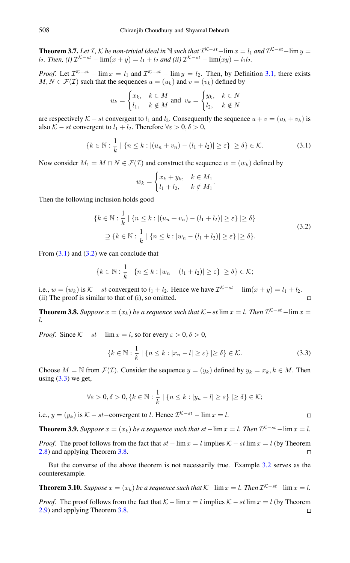**Theorem 3.7.** *Let*  $I$ ,  $K$  *be non-trivial ideal in*  $N$  *such that*  $I^{K-st}-\lim x = l_1$  *and*  $I^{K-st}-\lim y = l_2$  $l_2$ *. Then, (i)*  $\mathcal{I}^{\mathcal{K}-st}$  –  $\lim(x+y) = l_1 + l_2$  and (ii)  $\mathcal{I}^{\mathcal{K}-st}$  –  $\lim(xy) = l_1 l_2$ *.* 

*Proof.* Let  $\mathcal{I}^{\mathcal{K}-st}$  – lim  $x = l_1$  and  $\mathcal{I}^{\mathcal{K}-st}$  – lim  $y = l_2$ . Then, by Definition [3.1,](#page-1-2) there exists  $M, N \in \mathcal{F}(\mathcal{I})$  such that the sequences  $u = (u_k)$  and  $v = (v_k)$  defined by

$$
u_k = \begin{cases} x_k, & k \in M \\ l_1, & k \notin M \end{cases} \text{ and } v_k = \begin{cases} y_k, & k \in N \\ l_2, & k \notin N \end{cases}
$$

are respectively K – st convergent to  $l_1$  and  $l_2$ . Consequently the sequence  $u + v = (u_k + v_k)$  is also  $K - st$  convergent to  $l_1 + l_2$ . Therefore  $\forall \varepsilon > 0, \delta > 0$ ,

$$
\{k \in \mathbb{N} : \frac{1}{k} \mid \{n \le k : |(u_n + v_n) - (l_1 + l_2)| \ge \varepsilon\} \mid \ge \delta\} \in \mathcal{K}.
$$
 (3.1)

Now consider  $M_1 = M \cap N \in \mathcal{F}(\mathcal{I})$  and construct the sequence  $w = (w_k)$  defined by

<span id="page-3-1"></span><span id="page-3-0"></span>
$$
w_k = \begin{cases} x_k + y_k, & k \in M_1 \\ l_1 + l_2, & k \notin M_1 \end{cases}.
$$

Then the following inclusion holds good

$$
\{k \in \mathbb{N} : \frac{1}{k} \mid \{n \le k : |(u_n + v_n) - (l_1 + l_2)| \ge \varepsilon\} \mid \ge \delta\}
$$
  

$$
\supseteq \{k \in \mathbb{N} : \frac{1}{k} \mid \{n \le k : |w_n - (l_1 + l_2)| \ge \varepsilon\} \mid \ge \delta\}.
$$
 (3.2)

From  $(3.1)$  and  $(3.2)$  we can conclude that

$$
\{k \in \mathbb{N} : \frac{1}{k} \mid \{n \leq k : |w_n - (l_1 + l_2)| \geq \varepsilon\} \mid \geq \delta\} \in \mathcal{K};
$$

i.e.,  $w = (w_k)$  is  $K - st$  convergent to  $l_1 + l_2$ . Hence we have  $\mathcal{I}^{K-st} - \lim(x + y) = l_1 + l_2$ . (ii) The proof is similar to that of (i), so omitted.

<span id="page-3-3"></span>**Theorem 3.8.** Suppose  $x = (x_k)$  be a sequence such that  $K - st \lim x = l$ . Then  $I^{K-st} - \lim x = l$ l*.*

*Proof.* Since  $K - st - \lim x = l$ , so for every  $\varepsilon > 0$ ,  $\delta > 0$ ,

<span id="page-3-2"></span>
$$
\{k \in \mathbb{N} : \frac{1}{k} \mid \{n \le k : |x_n - l| \ge \varepsilon\} \mid \ge \delta\} \in \mathcal{K}.\tag{3.3}
$$

Choose  $M = N$  from  $\mathcal{F}(\mathcal{I})$ . Consider the sequence  $y = (y_k)$  defined by  $y_k = x_k, k \in M$ . Then using  $(3.3)$  we get,

$$
\forall \varepsilon > 0, \delta > 0, \{k \in \mathbb{N} : \frac{1}{k} \mid \{n \leq k : |y_n - l| \geq \varepsilon\} \mid \geq \delta\} \in \mathcal{K};
$$

i.e.,  $y = (y_k)$  is  $K - st$  – convergent to l. Hence  $\mathcal{I}^{K-st} - \lim x = l$ .

**Theorem 3.9.** *Suppose*  $x = (x_k)$  *be a sequence such that*  $st - \lim x = l$ . *Then*  $\mathcal{I}^{\mathcal{K}-st}-\lim x = l$ .

*Proof.* The proof follows from the fact that  $st - \lim x = l$  implies  $K - st \lim x = l$  (by Theorem [2.8\)](#page-1-1) and applying Theorem [3.8.](#page-3-3)  $\Box$ 

But the converse of the above theorem is not necessarily true. Example [3.2](#page-2-2) serves as the counterexample.

**Theorem 3.10.** *Suppose*  $x = (x_k)$  *be a sequence such that*  $K$ -lim  $x = l$ *. Then*  $I^{K-st}$ -lim  $x = l$ *.* 

*Proof.* The proof follows from the fact that  $K - \lim x = l$  implies  $K - st \lim x = l$  (by Theorem [2.9\)](#page-1-0) and applying Theorem [3.8.](#page-3-3) $\Box$ 

$$
\Box
$$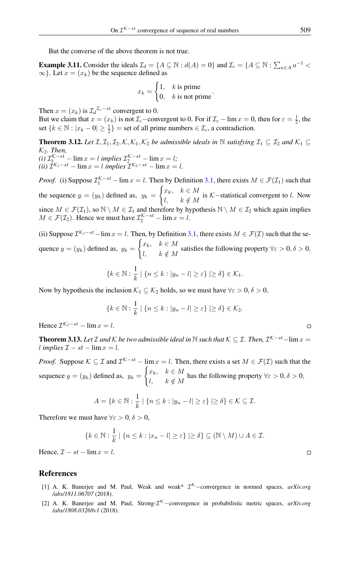But the converse of the above theorem is not true.

**Example 3.11.** Consider the ideals  $\mathcal{I}_d = \{A \subseteq \mathbb{N} : d(A) = 0\}$  and  $\mathcal{I}_c = \{A \subseteq \mathbb{N} : \sum_{a \in A} a^{-1} < a \}$  $\infty$ . Let  $x = (x_k)$  be the sequence defined as

$$
x_k = \begin{cases} 1, & k \text{ is prime} \\ 0, & k \text{ is not prime} \end{cases}
$$

.

Then  $x = (x_k)$  is  $\mathcal{I}_d^{\mathcal{I}_c - st}$  convergent to 0.

But we claim that  $x = (x_k)$  is not  $\mathcal{I}_c$ –convergent to 0. For if  $\mathcal{I}_c$  – lim  $x = 0$ , then for  $\varepsilon = \frac{1}{2}$ , the set { $k \in \mathbb{N} : |x_k - 0| \ge \frac{1}{2}$ } = set of all prime numbers ∈  $\mathcal{I}_c$ , a contradiction.

**Theorem 3.12.** *Let*  $I, I_1, I_2, K, K_1, K_2$  *be admissible ideals in* N *satisfying*  $I_1 \subseteq I_2$  *and*  $K_1 \subseteq I_1$ K2*. Then,*  $\lim_{t \to \infty} x = l$  *implies*  $\mathcal{I}_{2}^{\mathcal{K}-st}$   $-\lim_{t \to \infty} x = l$ ;

 $(iii)$   $\mathcal{I}^{\mathcal{K}_1 - st}$  −  $\lim x = l$  *implies*  $\mathcal{I}^{\mathcal{K}_2 - st}$  −  $\lim x = l$ *. Proof.* (i) Suppose  $\mathcal{I}_1^{\mathcal{K}-st}$  $1^{N-st}$  – lim  $x = l$ . Then by Definition [3.1,](#page-1-2) there exists  $M \in \mathcal{F}(\mathcal{I}_1)$  such that  $\int x_k, \quad k \in M$ 

the sequence  $y = (y_k)$  defined as,  $y_k =$  $\begin{cases} \n\alpha, & \alpha \in \Omega \\ \n\alpha, & k \notin M \n\end{cases}$  is K–statistical convergent to l. Now since  $M \in \mathcal{F}(\mathcal{I}_1)$ , so  $\mathbb{N} \setminus M \in \mathcal{I}_1$  and therefore by hypothesis  $\mathbb{N} \setminus M \in \mathcal{I}_2$  which again implies  $M \in \mathcal{F}(\mathcal{I}_2)$ . Hence we must have  $\mathcal{I}_2^{\mathcal{K}-st}$  –  $\lim x = l$ .

(ii) Suppose  $\mathcal{I}^{\mathcal{K}_1-st}-\lim x = l$ . Then, by Definition [3.1,](#page-1-2) there exists  $M \in \mathcal{F}(\mathcal{I})$  such that the sequence  $y = (y_k)$  defined as,  $y_k =$  $\int x_k, \quad k \in M$  $\begin{cases} \n\frac{\partial}{\partial \xi} & n \in \mathbb{R}^n, \\
l, \quad k \notin M \n\end{cases}$  satisfies the following property  $\forall \varepsilon > 0, \delta > 0,$ 

$$
\{k \in \mathbb{N} : \frac{1}{k} \mid \{n \leq k : |y_n - l| \geq \varepsilon\} \mid \geq \delta\} \in \mathcal{K}_1.
$$

Now by hypothesis the inclusion  $\mathcal{K}_1 \subseteq \mathcal{K}_2$  holds, so we must have  $\forall \varepsilon > 0, \delta > 0$ ,

$$
\{k \in \mathbb{N} : \frac{1}{k} \mid \{n \leq k : |y_n - l| \geq \varepsilon\} \mid \geq \delta\} \in \mathcal{K}_2.
$$

Hence  $\mathcal{I}^{\mathcal{K}_2-st}$  –  $\lim x = l$ .

**Theorem 3.13.** Let  $\mathcal I$  and  $\mathcal K$  be two admissible ideal in  $\mathbb N$  such that  $\mathcal K\subseteq\mathcal I$ . Then,  $\mathcal I^{\mathcal K-st}-\lim x=0$ *l implies*  $\mathcal{I} - st - \lim x = l$ .

*Proof.* Suppose  $\mathcal{K} \subseteq \mathcal{I}$  and  $\mathcal{I}^{\mathcal{K}-st}$  – lim  $x = l$ . Then, there exists a set  $M \in \mathcal{F}(\mathcal{I})$  such that the sequence  $y = (y_k)$  defined as,  $y_k =$  $\int x_k, \quad k \in M$  $\begin{cases} \n\frac{\partial}{\partial \xi}, & n \in \mathbb{N} \\ \n\ell, & k \notin M \n\end{cases}$  has the following property  $\forall \varepsilon > 0, \delta > 0$ ,

$$
A = \{k \in \mathbb{N} : \frac{1}{k} \mid \{n \le k : |y_n - l| \ge \varepsilon\} \mid \ge \delta\} \in \mathcal{K} \subseteq \mathcal{I}.
$$

Therefore we must have  $\forall \varepsilon > 0, \delta > 0$ ,

$$
\{k \in \mathbb{N} : \frac{1}{k} \mid \{n \leq k : |x_n - l| \geq \varepsilon\} \mid \geq \delta\} \subseteq (\mathbb{N} \setminus M) \cup A \in \mathcal{I}.
$$

Hence,  $\mathcal{I} - st - \lim x = l$ .

## <span id="page-4-0"></span>References

- <span id="page-4-1"></span>[1] A. K. Banerjee and M. Paul, Weak and weak<sup>\*</sup>  $\mathcal{I}^{\mathcal{K}}$ -convergence in normed spaces, *arXiv.org /abs/1811.06707* (2018).
- <span id="page-4-2"></span>[2] A. K. Banerjee and M. Paul, Strong- $\mathcal{I}^{\mathcal{K}}$ -convergence in probabilistic metric spaces, *arXiv.org /abs/1808.03268v1* (2018).

 $\Box$ 

 $\Box$